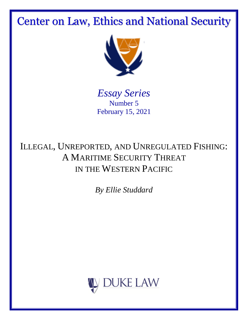Center on Law, Ethics and National Security



*Essay Series* Number 5 February 15, 2021

ILLEGAL, UNREPORTED, AND UNREGULATED FISHING: A MARITIME SECURITY THREAT IN THE WESTERN PACIFIC

*By Ellie Studdard*

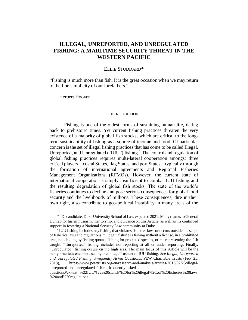# **ILLEGAL, UNREPORTED, AND UNREGULATED FISHING: A MARITIME SECURITY THREAT IN THE WESTERN PACIFIC**

# ELLIE STUDDARD\*

"Fishing is much more than fish. It is the great occasion when we may return to the fine simplicity of our forefathers."

–Herbert Hoover

 $\overline{a}$ 

#### **INTRODUCTION**

Fishing is one of the oldest forms of sustaining human life, dating back to prehistoric times. Yet current fishing practices threaten the very existence of a majority of global fish stocks, which are critical to the longterm sustainability of fishing as a source of income and food. Of particular concern is the set of illegal fishing practices that has come to be called Illegal, Unreported, and Unregulated ("IUU") fishing.<sup>1</sup> The control and regulation of global fishing practices requires multi-lateral cooperation amongst three critical players—costal States, flag States, and port States—typically through the formation of international agreements and Regional Fisheries Management Organizations (RFMOs). However, the current state of international cooperation is simply insufficient to combat IUU fishing and the resulting degradation of global fish stocks. The state of the world's fisheries continues to decline and pose serious consequences for global food security and the livelihoods of millions. These consequences, dire in their own right, also contribute to geo-political instability in many areas of the

<sup>\*</sup>J.D. candidate, Duke University School of Law expected 2021. Many thanks to General Dunlap for his enthusiasm, mentorship, and guidance on this Article, as well as his continued support in fostering a National Security Law community at Duke.

<sup>&</sup>lt;sup>1</sup> IUU fishing includes any fishing that violates fisheries laws or occurs outside the scope of fisheries laws and regulations. "Illegal" fishing is fishing without a license, in a prohibited area, not abiding by fishing quotas, fishing for protected species, or misrepresenting the fish caught. "Unreported" fishing includes not reporting at all or under reporting. Finally, "Unregulated" fishing occurs on the high seas. The main focus of this Article will be the many practices encompassed by the "illegal" aspect of IUU fishing. *See Illegal, Unreported and Unregulated Fishing: Frequently Asked Questions*, PEW Charitable Trusts (Feb. 25, 2013), https://www.pewtrusts.org/en/research-and-analysis/articles/2013/02/25/illegalunreported-and-unregulated-fishing-frequently-asked-

questions#:~:text=%22IUU%22%20stands%20for%20illegal%2C,of%20fisheries%20laws %20and%20regulations.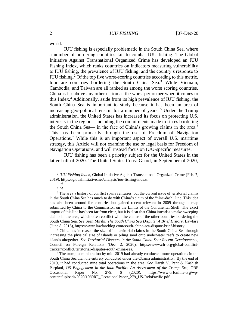world.

IUU fishing is especially problematic in the South China Sea, where a number of bordering countries fail to combat IUU fishing. The Global Initiative Against Transnational Organized Crime has developed an IUU Fishing Index, which ranks countries on indicators measuring vulnerability to IUU fishing, the prevalence of IUU fishing, and the country's response to IUU fishing.<sup>2</sup> Of the top five worst-scoring countries according to this metric, four are countries bordering the South China Sea.<sup>3</sup> While Vietnam, Cambodia, and Taiwan are all ranked as among the worst scoring countries, China is far above any other nation as the worst performer when it comes to this Index.<sup>4</sup> Additionally, aside from its high prevalence of IUU fishing, the South China Sea is important to study because it has been an area of increasing geo-political tension for a number of years.<sup>5</sup> Under the Trump administration, the United States has increased its focus on protecting U.S. interests in the region—including the commitments made to states bordering the South China Sea— in the face of China's growing claims in the area.<sup>6</sup> This has been primarily through the use of Freedom of Navigation Operations.<sup>7</sup> While this is an important aspect of overall U.S. maritime strategy, this Article will not examine the use or legal basis for Freedom of Navigation Operations, and will instead focus on IUU-specific measures.

IUU fishing has been a priority subject for the United States in the latter half of 2020. The United States Coast Guard, in September of 2020,

<sup>&</sup>lt;sup>2</sup> *IUU Fishing Index*, Global Initiative Against Transnational Organized Crime (Feb. 7, 2019), https://globalinitiative.net/analysis/iuu-fishing-index/.

<sup>3</sup> *Id.*

<sup>4</sup> *Id.*

<sup>&</sup>lt;sup>5</sup> The area's history of conflict spans centuries, but the current issue of territorial claims in the South China Sea has much to do with China's claim of the "nine-dash" line. This idea has also been around for centuries but gained recent relevant in 2009 through a map submitted by China to the Commission on the Limits of the Continental Shelf. The exact import of this line has been far from clear, but it is clear that China intends to make sweeping claims in the area, which often conflict with the claims of the other countries bordering the South China Sea. *See* Sean Mirski, *The South China Sea Dispute: A Brief History,* Lawfare (June 8, 2015), https://www.lawfareblog.com/south-china-sea-dispute-brief-history.

<sup>&</sup>lt;sup>6</sup> China has increased the size of its territorial claims in the South China Sea through increasing the physical size of islands or piling sand onto underwater reefs to create new islands altogether. *See Territorial Disputes in the South China Sea: Recent Developments*, Council on Foreign Relations (Dec. 2, 2020), https://www.cfr.org/global-conflicttracker/conflict/territorial-disputes-south-china-sea.

 $<sup>7</sup>$  The trump administration by mid-2019 had already conducted more operations in the</sup> South China Sea than the entirely conducted under the Obama administration. By the end of 2019, it had conducted nine total operations in the area. *See* Harsh V. Pant & Kashish Parpiani, *US Engagement in the Indo-Pacific: An Assessment of the Trump Era*, ORF Occasional Paper No. 279, 6 (2020), https://www.orfonline.org/wpcontent/uploads/2020/10/ORF\_OccasionalPaper\_279\_US-IndoPacific.pdf.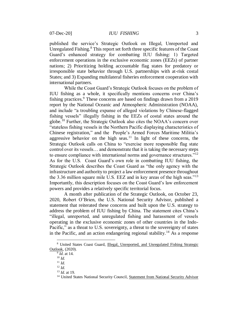published the service's Strategic Outlook on Illegal, Unreported and Unregulated Fishing.<sup>8</sup> This report set forth three specific features of the Coast Guard's enhanced strategy for combatting IUU fishing: 1) Targeted enforcement operations in the exclusive economic zones (EEZs) of partner nations; 2) Prioritizing holding accountable flag states for predatory or irresponsible state behavior through U.S. partnerships with at-risk costal States; and 3) Expanding multilateral fisheries enforcement cooperation with international partners.

While the Coast Guard's Strategic Outlook focuses on the problem of IUU fishing as a whole, it specifically mentions concerns over China's fishing practices.<sup>9</sup> These concerns are based on findings drawn from a 2019 report by the National Oceanic and Atmospheric Administration (NOAA), and include "a troubling expanse of alleged violations by Chinese-flagged fishing vessels" illegally fishing in the EEZs of costal states around the globe.<sup>10</sup> Further, the Strategic Outlook also cites the NOAA's concern over "stateless fishing vessels in the Northern Pacific displaying characteristics of Chinese registration," and the People's Armed Forces Maritime Militia's aggressive behavior on the high seas.<sup>11</sup> In light of these concerns, the Strategic Outlook calls on China to "exercise more responsible flag state control over its vessels… and demonstrate that it is taking the necessary steps to ensure compliance with international norms and governance structures."<sup>12</sup> As for the U.S. Coast Guard's own role in combatting IUU fishing, the Strategic Outlook describes the Coast Guard as "the only agency with the infrastructure and authority to project a law enforcement presence throughout the 3.36 million square mile U.S. EEZ and in key areas of the high seas."<sup>13</sup> Importantly, this description focuses on the Coast Guard's law enforcement powers and provides a relatively specific territorial focus.

A month after publication of the Strategic Outlook, on October 23, 2020, Robert O'Brien, the U.S. National Security Advisor, published a statement that reiterated these concerns and built upon the U.S. strategy to address the problem of IUU fishing by China. The statement cites China's "illegal, unreported, and unregulated fishing and harassment of vessels operating in the exclusive economic zones of other countries in the Indo-Pacific," as a threat to U.S. sovereignty, a threat to the sovereignty of states in the Pacific, and an action endangering regional stability.<sup>14</sup> As a response

<sup>8</sup> United States Coast Guard, Illegal, Unreported, and Unregulated Fishing Strategic Outlook, (2020).

<sup>9</sup> *Id.* at 14.

<sup>10</sup> *Id.*

<sup>11</sup> *Id.*

<sup>12</sup> *Id.*

<sup>13</sup> *Id.* at 19.

<sup>14</sup> United States National Security Council, Statement from National Security Advisor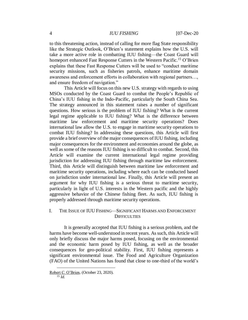#### 4 *IUU FISHING* [07-Dec-20

to this threatening action, instead of calling for more flag State responsibility like the Strategic Outlook, O'Brien's statement explains how the U.S. will take a more active role in combatting IUU fishing—the Coast Guard will homeport enhanced Fast Response Cutters in the Western Pacific.<sup>15</sup> O'Brien explains that these Fast Response Cutters will be used to "conduct maritime security missions, such as fisheries patrols, enhance maritime domain awareness and enforcement efforts in collaboration with regional partners…, and ensure freedom of navigation."

This Article will focus on this new U.S. strategy with regards to using MSOs conducted by the Coast Guard to combat the People's Republic of China's IUU fishing in the Indo-Pacific, particularly the South China Sea. The strategy announced in this statement raises a number of significant questions. How serious is the problem of IUU fishing? What is the current legal regime applicable to IUU fishing? What is the difference between maritime law enforcement and maritime security operations? Does international law allow the U.S. to engage in maritime security operations to combat IUU fishing? In addressing these questions, this Article will first provide a brief overview of the major consequences of IUU fishing, including major consequences for the environment and economies around the globe, as well as some of the reasons IUU fishing is so difficult to combat. Second, this Article will examine the current international legal regime providing jurisdiction for addressing IUU fishing through maritime law enforcement. Third, this Article will distinguish between maritime law enforcement and maritime security operations, including where each can be conducted based on jurisdiction under international law. Finally, this Article will present an argument for why IUU fishing is a serious threat to maritime security, particularly in light of U.S. interests in the Western pacific and the highly aggressive behavior of the Chinese fishing fleet. As such, IUU fishing is properly addressed through maritime security operations.

## I. THE ISSUE OF IUU FISHING—SIGNIFICANT HARMS AND ENFORCEMENT **DIFFICULTIES**

It is generally accepted that IUU fishing is a serious problem, and the harms have become well-understood in recent years. As such, this Article will only briefly discuss the major harms posed, focusing on the environmental and the economic harm posed by IUU fishing, as well as the broader consequences for geo-political stability. First, IUU fishing represents a significant environmental issue. The Food and Agriculture Organization (FAO) of the United Nations has found that close to one-third of the world's

Robert C. O'Brien, (October 23, 2020).

<sup>15</sup> *Id.*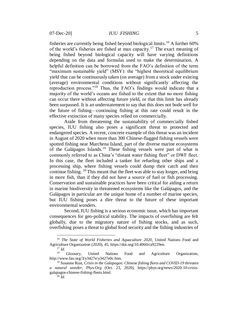fisheries are currently being fished beyond biological limits.<sup>16</sup> A further  $60\%$ of the world's fisheries are fished at max capacity.<sup>17</sup> The exact meaning of being fished beyond biological capacity will have varying definitions depending on the data and formulas used to make the determination. A helpful definition can be borrowed from the FAO's definition of the term "maximum sustainable yield" (MSY): the "highest theoretical equilibrium yield that can be continuously taken (on average) from a stock under existing (average) environmental conditions without significantly affecting the reproduction process."<sup>18</sup> Thus, the FAO's findings would indicate that a majority of the world's oceans are fished to the extent that no more fishing can occur there without affecting future yield, or that this limit has already been surpassed. It is an understatement to say that this does not bode well for the future of fishing—continuing fishing at this rate could result in the effective extinction of many species relied on commercially.

Aside from threatening the sustainability of commercially fished species, IUU fishing also poses a significant threat to protected and endangered species. A recent, concrete example of this threat was an incident in August of 2020 when more than 300 Chinese-flagged fishing vessels were spotted fishing near Marchena Island, part of the diverse marine ecosystems of the Galápagos Islands. <sup>19</sup> These fishing vessels were part of what is commonly referred to as China's "distant water fishing fleet" or DWF fleet. In this case, the fleet included a tanker for refueling other ships and a processing ship, where fishing vessels could dump their catch and then continue fishing. <sup>20</sup> This meant that the fleet was able to stay longer, and bring in more fish, than if they did not have a source of fuel or fish processing. Conservation and sustainable practices have been critical for aiding a return in marine biodiversity in threatened ecosystems like the Galápagos, and the Galápagos in particular are the unique home of a number of marine species, but IUU fishing poses a dire threat to the future of these important environmental wonders.

Second, IUU fishing is a serious economic issue, which has important consequences for geo-political stability. The impacts of overfishing are felt globally, due to the migratory nature of fishing stocks, and as such, overfishing poses a threat to global food security and the fishing industries of

<sup>16</sup> *The State of World Fisheries and Aquaculture 2020*, United Nations Food and Agriculture Organization (2020), 45, https://doi.org/10.4060/ca9229en.

 $\frac{17}{18}$  *Id.* Glossary, United Nations Food and Agriculture Organization, http://www.fao.org/3/y3427e/y3427e0c.htm.

<sup>19</sup> Susanne Rust, *Crisis in the Galapagos: Chinese fishing fleets and COVID-19 threaten a natural wonder*, *Phys.Org* (Oct. 23, 2020), https://phys.org/news/2020-10-crisisgalapagos-chinese-fishing-fleets.html.

 $^{20}$  *Id.*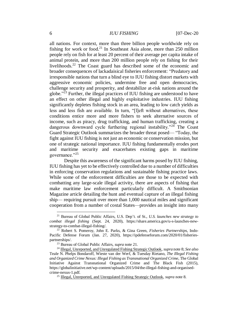## 6 *IUU FISHING* [07-Dec-20

all nations. For context, more than three billion people worldwide rely on fishing for work or food.<sup>21</sup> In Southeast Asia alone, more than 250 million people rely on fish for at least 20 percent of their average per capita intake of animal protein, and more than 200 million people rely on fishing for their livelihoods.<sup>22</sup> The Coast guard has described some of the economic and broader consequences of lackadaisical fisheries enforcement: "Predatory and irresponsible nations that turn a blind eye to IUU fishing distort markets with aggressive economic policies, undermine free and open democracies, challenge security and prosperity, and destabilize at-risk nations around the globe."<sup>23</sup> Further, the illegal practices of IUU fishing are understood to have an effect on other illegal and highly exploitative industries. IUU fishing significantly depletes fishing stock in an area, leading to low catch yields as less and less fish are available. In turn, "[l]eft without alternatives, these conditions entice more and more fishers to seek alternative sources of income, such as piracy, drug trafficking, and human trafficking, creating a dangerous downward cycle furthering regional instability."<sup>24</sup> The Coast Guard Strategic Outlook summarizes the broader threat posed— "Today, the fight against IUU fishing is not just an economic or conservation mission, but one of strategic national importance. IUU fishing fundamentally erodes port and maritime security and exacerbates existing gaps in maritime governance."<sup>25</sup>

Despite this awareness of the significant harms posed by IUU fishing, IUU fishing has yet to be effectively controlled due to a number of difficulties in enforcing conservation regulations and sustainable fishing practice laws. While some of the enforcement difficulties are those to be expected with combatting any large-scale illegal activity, there are aspects of fishing that make maritime law enforcement particularly difficult. A Smithsonian Magazine article detailing the hunt and eventual capture of an illegal fishing ship— requiring pursuit over more than 1,000 nautical miles and significant cooperation from a number of costal States—provides an insight into many

<sup>21</sup> Bureau of Global Public Affairs, U.S. Dep't. of St., *U.S. launches new strategy to combat illegal fishing* (Sept. 24, 2020), https://share.america.gov/u-s-launches-newstrategy-to-combat-illegal-fishing/.

<sup>22</sup> Robert S. Pomeroy, John E. Parks, & Gina Green, *Fisheries Partnerships*, Indo-Pacific Defense Forum (Jan. 27, 2020), https://ipdefenseforum.com/2020/01/fisheriespartnerships/.

<sup>23</sup> Bureau of Global Public Affairs, *supra* note 21.

<sup>24</sup> Illegal, Unreported, and Unregulated Fishing Strategic Outlook, *supra* note 8; *See also* Teale N. Phelps Bondaroff, Wieste van der Werf, & Tuesday Rietano, *The Illegal Fishing and Organized Crime Nexus: Illegal Fishing as Transnational Organized Crime*, The Global Initiative Against Transnational Organized Crime and The Black Fish (2015), https://globalinitiative.net/wp-content/uploads/2015/04/the-illegal-fishing-and-organisedcrime-nexus-1.pdf.

<sup>25</sup> Illegal, Unreported, and Unregulated Fishing Strategic Outlook, *supra* note 8.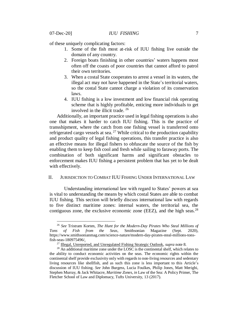$\overline{a}$ 

of these uniquely complicating factors:

- 1. Some of the fish most at-risk of IUU fishing live outside the domain of any country.
- 2. Foreign boats finishing in other countries' waters happens most often off the coasts of poor countries that cannot afford to patrol their own territories.
- 3. When a costal State cooperates to arrest a vessel in its waters, the illegal act may not have happened in the State's territorial waters, so the costal State cannot charge a violation of its conservation laws.
- 4. IUU fishing is a low investment and low financial risk operating scheme that is highly profitable, enticing more individuals to get involved in the illicit trade. <sup>26</sup>

Additionally, an important practice used in legal fishing operations is also one that makes it harder to catch IUU fishing. This is the practice of transshipment, where the catch from one fishing vessel is transferred onto refrigerated cargo vessels at sea.<sup>27</sup> While critical to the production capability and product quality of legal fishing operations, this transfer practice is also an effective means for illegal fishers to obfuscate the source of the fish by enabling them to keep fish cool and fresh while sailing to faraway ports. The combination of both significant harms and significant obstacles to enforcement makes IUU fishing a persistent problem that has yet to be dealt with effectively.

### II. JURISDICTION TO COMBAT IUU FISHING UNDER INTERNATIONAL LAW

Understanding international law with regard to States' powers at sea is vital to understanding the means by which costal States are able to combat IUU fishing. This section will briefly discuss international law with regards to five distinct maritime zones: internal waters, the territorial sea, the contiguous zone, the exclusive economic zone (EEZ), and the high seas.<sup>28</sup>

<sup>26</sup> *See* Tristram Korten, *The Hunt for the Modern-Day Pirates Who Steal Millions of Tons of Fish from the Seas*, Smithsonian Magazine (Sept. 2020), https://www.smithsonianmag.com/science-nature/modern-day-pirates-steal-millions-tonsfish-seas-180975496/.

<sup>27</sup> Illegal, Unreported, and Unregulated Fishing Strategic Outlook, *supra* note 8.

<sup>&</sup>lt;sup>28</sup> An additional maritime zone under the LOSC is the continental shelf, which relates to the ability to conduct economic activities on the seas. The economic rights within the continental shelf provide exclusivity only with regards to non-living resources and sedentary living resources like shellfish, and as such this zone is less important to this Article's discussion of IUU fishing. *See* John Burgess, Lucia Foulkes, Philip Jones, Matt Merighi, Stephen Murray, & Jack Whitacre, *Maritime Zones*, *in* Law of the Sea: A Policy Primer, The Fletcher School of Law and Diplomacy, Tufts University, 13 (2017).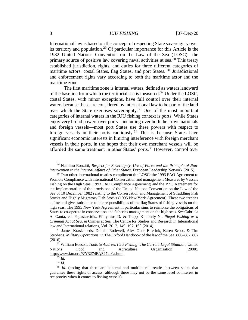### 8 *IUU FISHING* [07-Dec-20]

International law is based on the concept of respecting State sovereignty over its territory and population.<sup>29</sup> Of particular importance for this Article is the 1982 United Nations Convention on the Law of the Sea (LOSC)—the primary source of positive law covering naval activities at sea.<sup>30</sup> This treaty established jurisdiction, rights, and duties for three different categories of maritime actors: costal States, flag States, and port States.<sup>31</sup> Jurisdictional and enforcement rights vary according to both the maritime actor and the maritime zone.

The first maritime zone is internal waters, defined as waters landward of the baseline from which the territorial sea is measured. <sup>32</sup> Under the LOSC, costal States, with minor exceptions, have full control over their internal waters because these are considered by international law to be part of the land over which the State exercises sovereignty.<sup>33</sup> One of the most important categories of internal waters in the IUU fishing context is ports. While States enjoy very broad powers over ports—including over both their own nationals and foreign vessels—most port States use these powers with respect to foreign vessels in their ports cautiously.<sup>34</sup> This is because States have significant economic interests in limiting interference with foreign merchant vessels in their ports, in the hopes that their own merchant vessels will be afforded the same treatment in other States' ports.<sup>35</sup> However, control over

<sup>29</sup> Natalino Ronzitti, *Respect for Sovereignty, Use of Force and the Principle of Nonintervention in the Internal Affairs of Other States,* European Leadership Network (2015).

 $30$  Two other international treaties compliment the LOSC: the 1993 FAO Agreement to Promote Compliance with international Conservation and management Measures by Vessels Fishing on the High Seas (1993 FAO Compliance Agreement) and the 1995 Agreement for the Implementation of the provisions of the United Nations Convention on the Law of the Sea of 10 December 1982 relating to the Conservation and Management of Straddling Fish Stocks and Highly Migratory Fish Stocks (1995 New York Agreement). These two treaties define and gives substance to the responsibilities of the flag States of fishing vessels on the high seas. The 1995 New York Agreement in particular sims to reinforce the obligations of States to co-operate in conservation and fisheries management on the high seas. *See* Gabriela A. Oanta, ed. Papastavridis, Efthymios D. & Trapp, Kimberly N., *Illegal Fishing as a Criminal Act at Sea*, *in* Crimes at Sea, The Centre for Studies and Research in International law and International relations, Vol. 2012, 149–197, 160 (2014).

<sup>31</sup> James Kraska, eds. Donald Rothwell, Alex Oude Elferink, Karen Scoot, & Tim Stephens, *Military Operations*, *in* The Oxford Handbook of the law of the Sea, 866–887, 867 (2016).

<sup>32</sup> William Edeson, *Tools to Address IUU Fishing: The Current Legal Situation*, United Nations Food and Agriculture Organization (2000), [http://www.fao.org/3/Y3274E/y3274e0a.htm.](http://www.fao.org/3/Y3274E/y3274e0a.htm)

<sup>33</sup> *Id.*

<sup>34</sup> *Id.*

<sup>&</sup>lt;sup>35</sup> *Id.* (noting that there are bilateral and multilateral treaties between states that guarantee these rights of access, although there may not be the same level of interest in reciprocity when it comes to fishing vessels).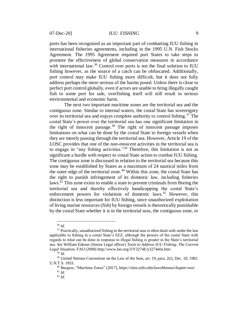ports has been recognized as an important part of combatting IUU fishing in international fisheries agreements, including in the 1995 U.N. Fish Stocks Agreement. The 1995 Agreement required port States to take steps to promote the effectiveness of global conservation measures in accordance with international law.<sup>36</sup> Control over ports is not the final solution to IUU fishing however, as the source of a catch can be obfuscated. Additionally, port control may make IUU fishing more difficult, but it does not fully address perhaps the more serious of the harms posed. Unless there is close to perfect port control globally, even if actors are unable to bring illegally caught fish to some port for sale, overfishing itself will still result in serious environmental and economic harm.

The next two important maritime zones are the territorial sea and the contiguous zone. Similar to internal waters, the costal State has sovereignty over its territorial sea and enjoys complete authority to control fishing.<sup>37</sup> The costal State's power over the territorial sea has one significant limitation in the right of innocent passage. $38$  The right of innocent passage imposes limitations on what can be done by the costal State to foreign vessels when they are merely passing through the territorial sea. However, Article 19 of the LOSC provides that one of the *non-innocent* activities in the territorial sea is to engage in "any fishing activities."<sup>39</sup> Therefore, this limitation is not as significant a hurdle with respect to costal State action to combat IUU fishing. The contiguous zone is discussed in relation to the territorial sea because this zone may be established by States as a maximum of 24 nautical miles from the outer edge of the territorial zone.<sup>40</sup> Within this zone, the costal State has the right to punish infringement of its domestic law, including fisheries laws.<sup>41</sup> This zone exists to enable a state to prevent criminals from fleeing the territorial sea and thereby effectively handicapping the costal State's enforcement powers for violations of domestic laws.<sup>42</sup> However, this distinction is less important for IUU fishing, since unauthorized exploitation of living marine resources (fish) by foreign vessels is theoretically punishable by the costal State whether it is in the territorial seas, the contiguous zone, or

<sup>36</sup> *Id.*

 $37$  Practically, unauthorized fishing in the territorial seas is often dealt with under the law applicable to fishing in a costal State's EEZ, although the powers of the costal State with regards to what can be done in response to illegal fishing is greater in the State's territorial sea. *See* William Edeson (Senior Legal officer) *Tools to Address IUU Fishing: The Current Legal Situation*, FAO (2000) http://www.fao.org/3/Y3274E/y3274e0a.htm.

<sup>38</sup> *Id.*

<sup>&</sup>lt;sup>39</sup> United Nations Convention on the Law of the Seas, art. 19, para. 2(i), Dec. 10, 1982. U.N.T.S. 1833.

<sup>40</sup> Burgess, "Maritime Zones" (2017), https://sites.tufts.edu/lawofthesea/chapter-two/.

<sup>41</sup> *Id.*

<sup>42</sup> *Id.*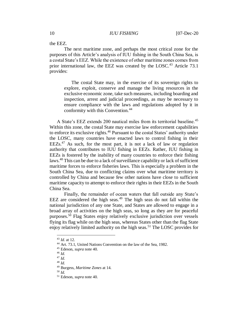the EEZ.

The next maritime zone, and perhaps the most critical zone for the purposes of this Article's analysis of IUU fishing in the South China Sea, is a costal State's EEZ. While the existence of other maritime zones comes from prior international law, the EEZ was created by the LOSC.<sup>43</sup> Article 73.1 provides:

The costal State may, in the exercise of its sovereign rights to explore, exploit, conserve and manage the living resources in the exclusive economic zone, take such measures, including boarding and inspection, arrest and judicial proceedings, as may be necessary to ensure compliance with the laws and regulations adopted by it in conformity with this Convention.<sup>44</sup>

A State's EEZ extends 200 nautical miles from its territorial baseline.<sup>45</sup> Within this zone, the costal State may exercise law enforcement capabilities to enforce its exclusive rights.<sup>46</sup> Pursuant to the costal States' authority under the LOSC, many countries have enacted laws to control fishing in their  $EEZs$ <sup>47</sup> As such, for the most part, it is not a lack of law or regulation authority that contributes to IUU fishing in EEZs. Rather, IUU fishing in EEZs is fostered by the inability of many countries to enforce their fishing laws.<sup>48</sup> This can be due to a lack of surveillance capability or lack of sufficient maritime forces to enforce fisheries laws. This is especially a problem in the South China Sea, due to conflicting claims over what maritime territory is controlled by China and because few other nations have close to sufficient maritime capacity to attempt to enforce their rights in their EEZs in the South China Sea.

Finally, the remainder of ocean waters that fall outside any State's EEZ are considered the high seas.<sup>49</sup> The high seas do not fall within the national jurisdiction of any one State, and States are allowed to engage in a broad array of activities on the high seas, so long as they are for peaceful purposes.<sup>50</sup> Flag States enjoy relatively exclusive jurisdiction over vessels flying its flag while on the high seas, whereas States other than the flag State enjoy relatively limited authority on the high seas.<sup>51</sup> The LOSC provides for

<sup>43</sup> *Id.* at 12.

<sup>44</sup> Art. 73.1, United Nations Convention on the law of the Sea, 1982.

<sup>45</sup> Edeson, *supra* note 40.

<sup>46</sup> *Id.* 

<sup>47</sup> *Id*.

<sup>48</sup> *Id.*

<sup>49</sup> Burgess, *Maritime Zones* at 14.

<sup>50</sup> *Id.*

<sup>51</sup> Edeson, *supra* note 40.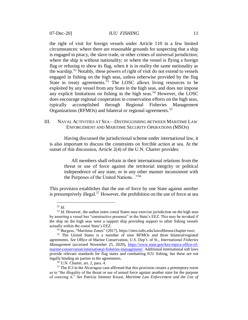the right of visit for foreign vessels under Article 110 in a few limited circumstances: where there are reasonable grounds for suspecting that a ship is engaged in piracy, the slave trade, or other crimes of universal jurisdiction; where the ship is without nationality; or where the vessel is flying a foreign flag or refusing to show its flag, when it is in reality the same nationality as the warship.<sup>52</sup> Notably, these powers of right of visit do not extend to vessels engaged in fishing on the high seas, unless otherwise provided by the flag State in treaty agreements.<sup>53</sup> The LOSC allows living resources to be exploited by any vessel from any State in the high seas, and does not impose any explicit limitations on fishing in the high seas.<sup>54</sup> However, the LOSC does encourage regional cooperation in conservation efforts on the high seas, typically accomplished through Regional Fisheries Management Organizations (RFMOs) and bilateral or regional agreements.<sup>55</sup>

### III. NAVAL ACTIVITIES AT SEA—DISTINGUISHING BETWEEN MARITIME LAW ENFORCEMENT AND MARITIME SECURITY OPERATIONS (MSOS)

Having discussed the jurisdictional scheme under international law, it is also important to discuss the constraints on forcible action at sea. At the outset of this discussion, Article 2(4) of the U.N. Charter provides:

All members shall refrain in their international relations from the threat or use of force against the territorial integrity or political independence of any state, or in any other manner inconsistent with the Purposes of the United Nations. ."<sup>56</sup>

This provision establishes that the use of force by one State against another is presumptively illegal.<sup>57</sup> However, the prohibition on the use of force at sea

<sup>52</sup> *Id.*

<sup>&</sup>lt;sup>53</sup> *Id*. However, the author notes costal States may exercise jurisdiction on the high seas by asserting a vessel has "constructive presence" in the State's EEZ. This may be invoked if the ship on the high seas were a support ship providing support to other fishing vessels actually within the costal State's EEZ.

<sup>54</sup> Burgess, "Maritime Zones" (2017), https://sites.tufts.edu/lawofthesea/chapter-two/.

<sup>55</sup> The United States is a member of nine RFMOs and three bilateral/regional agreements. *See* Office of Marine Conservation, U.S. Dep't. of St., *International Fisheries Management* (accessed November 25, 2020), [https://www.state.gov/key-topics-office-of](https://www.state.gov/key-topics-office-of-marine-conservation/international-fisheries-management/)[marine-conservation/international-fisheries-management/.](https://www.state.gov/key-topics-office-of-marine-conservation/international-fisheries-management/) Additional international soft laws provide relevant standards for flag states and combatting IUU fishing, but these are not legally binding on parties to the agreements.

<sup>56</sup> U.N. Charter, art. 2, para. 4.

<sup>57</sup> The ICJ in the *Nicaragua* case affirmed that this provision creates a preemptory norm as to "the illegality of the threat or use of armed force against another state for the purpose of coercing it." *See* Patricia Jimenez Kwast, *Maritime Law Enforcement and the Use of*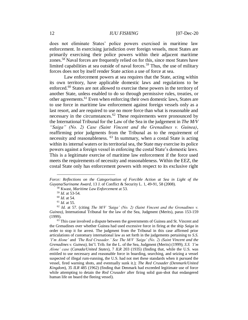#### 12 *IUU FISHING* [07-Dec-20]

does not eliminate States' police powers exercised in maritime law enforcement. In exercising jurisdiction over foreign vessels, most States are primarily exercising their police powers within their adjacent maritime zones.<sup>58</sup> Naval forces are frequently relied on for this, since most States have limited capabilities at sea outside of naval forces.<sup>59</sup> Thus, the use of military forces does not by itself render State action a use of force at sea.

Law enforcement powers at sea requires that the State, acting within its own territory, have applicable domestic laws and regulations to be enforced.<sup>60</sup> States are not allowed to exercise these powers in the territory of another State, unless enabled to do so through permissive rules, treaties, or other agreements.<sup>61</sup> Even when enforcing their own domestic laws, States are to use force in maritime law enforcement against foreign vessels only as a last resort, and are required to use no more force than what is reasonable and necessary in the circumstances.<sup>62</sup> These requirements were pronounced by the International Tribunal for the Law of the Sea in the judgement in *The M/V "Saiga" (No. 2) Case (Saint Vincent and the Grenadines v. Guinea)*, reaffirming prior judgments from the Tribunal as to the requirement of necessity and reasonableness. <sup>63</sup> In summary, when a costal State is acting within its internal waters or its territorial sea, the State may exercise its police powers against a foreign vessel in enforcing the costal State's domestic laws. This is a legitimate exercise of maritime law enforcement if the force used meets the requirements of necessity and reasonableness. Within the EEZ, the costal State only has enforcement powers with respect to its exclusive right

*Force: Reflections on the Categorisation of Forcible Action at Sea in Light of the Guyana/Suriname Award,* 13 J. of Conflict & Security L. 1, 49-91, 58 (2008).

<sup>58</sup> Kwast, *Maritime Law Enforcement* at 53.

<sup>59</sup> *Id.* at 53-54.

<sup>60</sup> *Id.* at 54.

<sup>61</sup> *Id.* at 55.

<sup>62</sup> *Id.* at 57. (citing *The M/V 'Saiga' (No. 2) (Saint Vincent and the Grenadines v. Guinea)*, International Tribunal for the law of the Sea, Judgment (Merits), paras 153-159 (1999).

<sup>&</sup>lt;sup>63</sup> This case involved a dispute between the governments of Guinea and St. Vincent and the Grenadines over whether Guinea had used excessive force in firing at the ship *Saiga* in order to stop it for arrest. The judgment from the Tribunal in this case affirmed prior articulations of customary international law as set forth in the judgements pertaining to *S.S. 'I'm Alone'* and *'The Red Crusader.' See The M/V 'Saiga' (No. 2) (Saint Vincent and the Grenadines v. Guinea)*, Int'l. Trib. for the L. of the Sea, Judgment (Merits) (1999); *S.S. 'I'm Alone' case* (*Canada/United States*), 7 *ILR* 203 (1935) (finding that, while the U.S. was entitled to use necessary and reasonable force in boarding, searching, and seizing a vessel suspected of illegal rum-running, the U.S. had not met these standards when it pursued the vessel, fired warning shots, and eventually sunk it.); *The Red Crusader (Denmark/United Kingdom*), 35 *ILR* 485 (1962) (finding that Denmark had exceeded legitimate use of force while attempting to detain the *Red Crusader* after firing solid gun-shot that endangered human life on board the fleeing vessel).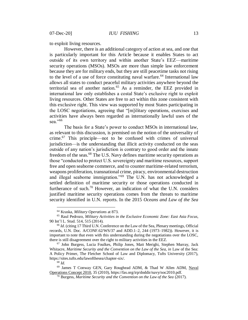to exploit living resources.

However, there is an additional category of action at sea, and one that is particularly important for this Article because it enables States to act outside of its own territory and within another State's EEZ—maritime security operations (MSOs). MSOs are more than simple law enforcement because they are for military ends, but they are still peacetime tasks not rising to the level of a use of force constituting naval warfare.<sup>64</sup> International law allows all states to conduct peaceful military activities anywhere beyond the territorial sea of another nation.<sup>65</sup> As a reminder, the EEZ provided in international law only establishes a costal State's exclusive right to exploit living resources. Other States are free to act within this zone consistent with this exclusive right. This view was supported by most States participating in the LOSC negotiations, agreeing that "[m]ilitary operations, exercises and activities have always been regarded as internationally lawful uses of the sea."<sup>66</sup>

The basis for a State's power to conduct MSOs in international law, as relevant to this discussion, is premised on the notion of the universality of crime.<sup>67</sup> This principle—not to be confused with crimes of universal jurisdiction—is the understanding that illicit activity conducted on the seas outside of any nation's jurisdiction is contrary to good order and the innate freedom of the seas.<sup>68</sup> The U.S. Navy defines maritime security operations as those "conducted to protect U.S. sovereignty and maritime resources, support free and open seaborne commerce, and to counter maritime-related terrorism, weapons proliferation, transnational crime, piracy, environmental destruction and illegal seaborne immigration."<sup>69</sup> The U.N. has not acknowledged a settled definition of maritime security or those operations conducted in furtherance of such.<sup>70</sup> However, an indication of what the U.N. considers justified maritime security operations comes from the threats to maritime security identified in U.N. reports. In the 2015 *Oceans and Law of the Sea* 

<sup>64</sup> Kraska, *Military Operations* at 873.

<sup>65</sup> Raul Pedrozo, *Military Activities in the Exclusive Economic Zone: East Asia Focus*, 90 Int'l L. Stud. 514, 515 (2014).

<sup>66</sup> *Id.* (citing 17 Third U.N. Conference on the Law of the Sea, Plenary meetings, Official records, U.N. Doc. A/CONF.62/WS/37 and ADD.1–2, 244 (1973–1982)). However, it is important to note that even with this understanding during the negotiations over the LOSC, there is still disagreement over the right to military activities in the EEZ.

<sup>67</sup> John Burgess, Lucia Foulkes, Philip Jones, Matt Merighi, Stephen Murray, Jack Whitacre, *Maritime Security and the Convention on the Law of the Sea, in Law of the Sea:* A Policy Primer, The Fletcher School of Law and Diplomacy, Tufts University (2017), https://sites.tufts.edu/lawofthesea/chapter-six/.

<sup>68</sup> *Id.*

<sup>69</sup> James T Conway GEN, Gary Roughead ADM, & Thad W Allen ADM, Naval Operations Concept 2010, 35 (2010), https://fas.org/irp/doddir/navy/noc2010.pdf.

<sup>70</sup> Burgess, *Maritime Security and the Convention on the Law of the Sea* (2017).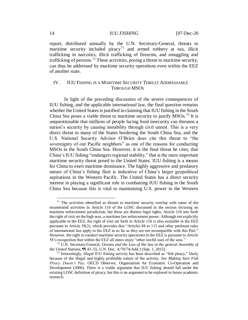### 14 *IUU FISHING* [07-Dec-20]

report, distributed annually by the U.N. Secretary-General, threats to maritime security included piracy<sup>71</sup> and armed robbery at sea, illicit trafficking in narcotics, illicit trafficking of firearms, and smuggling and trafficking of persons.<sup>72</sup> These activities, posing a threat to maritime security, can thus be addressed by maritime security operations even within the EEZ of another state.

# IV. IUU FISHING IS A MARITIME SECURITY THREAT ADDRESSABLE THROUGH MSOS

In light of the preceding discussion of the severe consequences of IUU fishing, and the applicable international law, the final question remains whether the United States is justified in claiming that IUU fishing in the South China Sea poses a viable threat to maritime security to justify  $MSOs.<sup>73</sup>$  It is unquestionable that millions of people facing food insecurity can threaten a nation's security by causing instability through civil unrest. This is a very direct threat to many of the States bordering the South China Sea, and the U.S. National Security Advisor O'Brien does cite this threat to "the sovereignty of our Pacific neighbors" as one of the reasons for conducting MSOs in the South China Sea. However, it is the final threat he cites, that China's IUU fishing "endangers regional stability," that is the more important maritime security threat posed to the United States. IUU fishing is a means for China to exert maritime dominance. The highly aggressive and predatory nature of China's fishing fleet is indicative of China's larger geopolitical aspirations in the Western Pacific. The United States has a direct security interest in playing a significant role in combatting IUU fishing in the South China Sea because this is vital to maintaining U.S. power in the Western

<sup>&</sup>lt;sup>71</sup> The activities identified as threats to maritime security overlap with some of the enumerated activities in Article 110 of the LOSC discussed in the section focusing on maritime enforcement jurisdiction, but these are distinct legal rights. Article 110 sets forth the right of visit on the high seas, a maritime law enforcement power. Although not explicitly applicable to the EEZ, the right of visit set forth in Article 110 is also available in the EEZ pursuant to Article 58(2), which provides that "Articles 88 to 115 and other pertinent rules of international law apply to the EEZ in so far as they are not incompatible with this Part." However, the right to conduct maritime security operations in the EEZ is pursuant to Article 58's recognition that within the EEZ all states enjoy "other lawful uses of the seas."

<sup>72</sup> U.N. Secretary-General, *Oceans and the Law of the Sea in the general Assembly of the United Nations*, ¶¶ 43–55, U.N. Doc. A/70/74/Add.1 (Sep. 1, 2015).

 $73$  Interestingly, illegal IUU fishing activity has been described as "fish piracy," likely because of the illegal and highly profitable nature of the activity. *See Making Sure Fish Piracy Doesn't Pay,* OECD Observer, Organisation for Economic Co-Operation and Development (2006). There is a viable argument that IUU fishing should fall under the existing LOSC definition of piracy, but this is an argument to be explored in future academic research.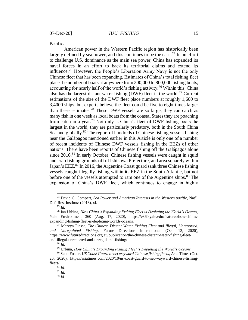Pacific.

American power in the Western Pacific region has historically been largely defined by sea power, and this continues to be the case.<sup>74</sup> In an effort to challenge U.S. dominance as the main sea power, China has expanded its naval forces in an effort to back its territorial claims and extend its influence.<sup>75</sup> However, the People's Liberation Army Navy is not the only Chinese fleet that has been expanding. Estimates of China's total fishing fleet place the number of boats at anywhere from 200,000 to 800,000 fishing boats, accounting for nearly half of the world's fishing activity.<sup>76</sup> Within this, China also has the largest distant water fishing (DWF) fleet in the world.<sup>77</sup> Current estimations of the size of the DWF fleet place numbers at roughly 1,600 to 3,4000 ships, but experts believe the fleet could be five to eight times larger than these estimates.<sup>78</sup> These DWF vessels are so large, they can catch as many fish in one week as local boats from the coastal States they are poaching from catch in a year.<sup>79</sup> Not only is China's fleet of DWF fishing boats the largest in the world, they are particularly predatory, both in the South China Sea and globally.<sup>80</sup> The report of hundreds of Chinese fishing vessels fishing near the Galápagos mentioned earlier in this Article is only one of a number of recent incidents of Chinese DWF vessels fishing in the EEZs of other nations. There have been reports of Chinese fishing off the Galápagos alone since 2016.<sup>81</sup> In early October, Chinese fishing vessels were caught in squid and crab fishing grounds off of Ishikawa Prefecture, and area squarely within Japan's EEZ. $82$  In 2016, the Argentine Coast guard sank three Chinese fishing vessels caught illegally fishing within its EEZ in the South Atlantic, but not before one of the vessels attempted to ram one of the Argentine ships.<sup>83</sup> The expansion of China's DWF fleet, which continues to engage in highly

<sup>74</sup> David C. Gompert, *Sea Power and American Interests in the Western pacific*, Nat'l. Def. Res. Institut*e* (2013), xi.

<sup>75</sup> *Id*.

<sup>76</sup> Ian Urbina, *How China's Expanding Fishing Fleet is Depleting the World's Oceans,* Yale Environment 360 (Aug. 17, 2020), https://e360.yale.edu/features/how-chinasexpanding-fishing-fleet-is-depleting-worlds-oceans.

<sup>77</sup> Mervyn Piesse, *The Chinese Distant Water Fishing Fleet and Illegal, Unreported, and Unregulated Fishing,* Future Directions International (Oct. 13, 2020), https://www.futuredirections.org.au/publication/the-chinese-distant-water-fishing-fleetand-illegal-unreported-and-unregulated-fishing/.

<sup>78</sup> *Id.*

<sup>79</sup> Urbina, *How China's Expanding Fishing Fleet is Depleting the World's Oceans*.

<sup>80</sup> Scott Foster, *US Coast Guard to net wayward Chinese fishing fleets*, Asia Times (Oct. 26, 2020), https://asiatimes.com/2020/10/us-coast-guard-to-net-wayward-chinese-fishingfleets/.

<sup>81</sup> *Id.*

<sup>82</sup> *Id.*

<sup>83</sup> *Id.*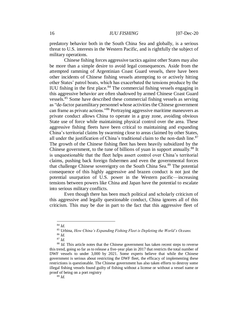predatory behavior both in the South China Sea and globally, is a serious threat to U.S. interests in the Western Pacific, and is rightfully the subject of military operations.

Chinese fishing forces aggressive tactics against other States may also be more than a simple desire to avoid legal consequences. Aside from the attempted ramming of Argentinian Coast Guard vessels, there have been other incidents of Chinese fishing vessels attempting to or actively hitting other States' patrol boats, which has exacerbated the tensions produce by the IUU fishing in the first place. $84$  The commercial fishing vessels engaging in this aggressive behavior are often shadowed by armed Chinese Coast Guard vessels.<sup>85</sup> Some have described these commercial fishing vessels as serving as "de-factor paramilitary personnel whose activities the Chinese government can frame as private actions."<sup>86</sup> Portraying aggressive maritime maneuvers as private conduct allows China to operate in a gray zone, avoiding obvious State use of force while maintaining physical control over the area. These aggressive fishing fleets have been critical to maintaining and expanding China's territorial claims by swarming close to areas claimed by other States, all under the justification of China's traditional claim to the non-dash line. $87$ The growth of the Chinese fishing fleet has been heavily subsidized by the Chinese government, to the tune of billions of yuan in support annually.<sup>88</sup> It is unquestionable that the fleet helps assert control over China's territorial claims, pushing back foreign fishermen and even the governmental forces that challenge Chinese sovereignty on the South China Sea.<sup>89</sup> The potential consequence of this highly aggressive and brazen conduct is not just the potential usurpation of U.S. power in the Western pacific—increasing tensions between powers like China and Japan have the potential to escalate into serious military conflicts.

Even though there has been much political and scholarly criticism of this aggressive and legally questionable conduct, China ignores all of this criticism. This may be due in part to the fact that this aggressive fleet of

<sup>84</sup> *Id*.

<sup>85</sup> Urbina, *How China's Expanding Fishing Fleet is Depleting the World's Oceans.*

<sup>86</sup> *Id.*

<sup>87</sup> *Id.*

<sup>&</sup>lt;sup>88</sup> *Id.* This article notes that the Chinese government has taken recent steps to reverse this trend, going so far as to release a five-year plan in 2017 that restricts the total number of DWF vessels to under 3,000 by 2021. Some experts believe that while the Chinese government is serious about restricting the DWF fleet, the efficacy of implementing these restrictions is questionable. The Chinese government has also taken efforts to destroy some illegal fishing vessels found guilty of fishing without a license or without a vessel name or proof of being on a port registry

<sup>89</sup> *Id.*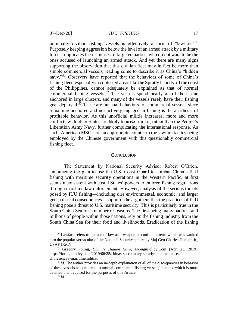nominally civilian fishing vessels is effectively a form of "lawfare". $90$ Purposely keeping aggression below the level of an armed attack by a military force complicates the responses of targeted parties, who do not want to be the ones accused of launching an armed attack. And yet there are many signs supporting the observation that this civilian fleet may in fact be more than simple commercial vessels, leading some to describe it as China's "hidden navy."<sup>91</sup> Observers have reported that the behaviors of some of China's fishing fleet, especially in contested areas like the Spratly Islands off the coast of the Philippines, cannot adequately be explained as that of normal commercial fishing vessels.<sup>92</sup> The vessels spend nearly all of their time anchored in large clusters, and many of the vessels rarely have their fishing gear deployed. $93$  These are unusual behaviors for commercial vessels, since remaining anchored and not actively engaged in fishing is the antithesis of profitable behavior. As this unofficial militia increases, more and more conflicts with other States are likely to arise from it, rather than the People's Liberation Army Navy, further complicating the international response. As such, American MSOs are an appropriate counter to the lawfare tactics being employed by the Chinese government with this questionably commercial fishing fleet.

#### **CONCLUSION**

The Statement by National Security Advisor Robert O'Brien, announcing the plan to use the U.S. Coast Guard to combat China's IUU fishing with maritime security operations in the Western Pacific, at first seems inconsistent with costal States' powers to enforce fishing regulations through maritime law enforcement. However, analysis of the serious threats posed by IUU fishing—including dire environmental, economic, and larger geo-political consequences—supports the argument that the practices of IUU fishing pose a threat to U.S. maritime security. This is particularly true in the South China Sea for a number of reasons. The first being many nations, and millions of people within those nations, rely on the fishing industry from the South China Sea for their food and livelihoods. Eradication of the fishing

 $90$  Lawfare refers to the use of law as a weapon of conflict, a term which was vaulted into the popular vernacular of the National Security sphere by Maj Gen Charles Dunlap, Jr,, USAF (Ret.).

<sup>91</sup> Gregory Poling, *China's Hidden Navy*, ForeignPolicy.Com (Apr. 23, 2019), https://foreignpolicy.com/2019/06/25/chinas-secret-navy-spratlys-southchinaseachinesenavy-maritimemilitia/.

<sup>&</sup>lt;sup>92</sup> *Id*. The author provides an in-depth explanation of all of the discrepancies in behavior of these vessels as compared to normal commercial fishing vessels, much of which is more detailed than required for the purposes of this Article.